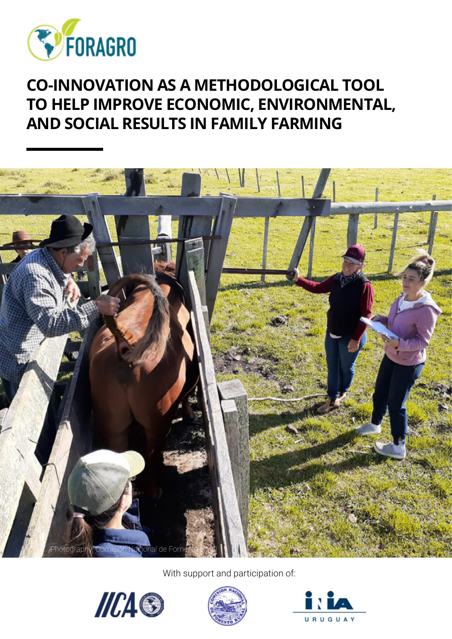

### **CO-INNOVATION AS A METHODOLOGICAL TOOL TO HELP IMPROVE ECONOMIC, ENVIRONMENTAL, AND SOCIAL RESULTS IN FAMILY FARMING**



With support and participation of:





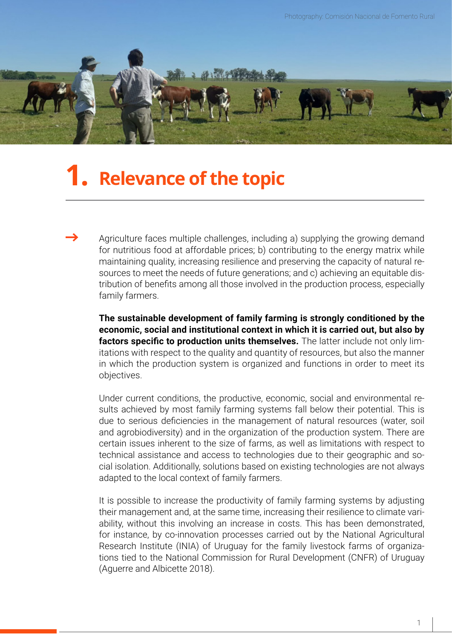

### **1. Relevance of the topic**

Agriculture faces multiple challenges, including a) supplying the growing demand for nutritious food at affordable prices; b) contributing to the energy matrix while maintaining quality, increasing resilience and preserving the capacity of natural resources to meet the needs of future generations; and c) achieving an equitable distribution of benefits among all those involved in the production process, especially family farmers.

**The sustainable development of family farming is strongly conditioned by the economic, social and institutional context in which it is carried out, but also by factors specific to production units themselves.** The latter include not only limitations with respect to the quality and quantity of resources, but also the manner in which the production system is organized and functions in order to meet its objectives.

Under current conditions, the productive, economic, social and environmental results achieved by most family farming systems fall below their potential. This is due to serious deficiencies in the management of natural resources (water, soil and agrobiodiversity) and in the organization of the production system. There are certain issues inherent to the size of farms, as well as limitations with respect to technical assistance and access to technologies due to their geographic and social isolation. Additionally, solutions based on existing technologies are not always adapted to the local context of family farmers.

It is possible to increase the productivity of family farming systems by adjusting their management and, at the same time, increasing their resilience to climate variability, without this involving an increase in costs. This has been demonstrated, for instance, by co-innovation processes carried out by the National Agricultural Research Institute (INIA) of Uruguay for the family livestock farms of organizations tied to the National Commission for Rural Development (CNFR) of Uruguay (Aguerre and Albicette 2018).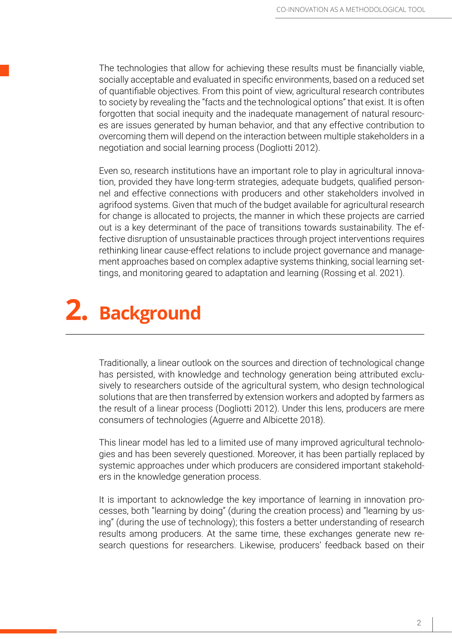The technologies that allow for achieving these results must be financially viable, socially acceptable and evaluated in specific environments, based on a reduced set of quantifiable objectives. From this point of view, agricultural research contributes to society by revealing the "facts and the technological options" that exist. It is often forgotten that social inequity and the inadequate management of natural resources are issues generated by human behavior, and that any effective contribution to overcoming them will depend on the interaction between multiple stakeholders in a negotiation and social learning process (Dogliotti 2012).

Even so, research institutions have an important role to play in agricultural innovation, provided they have long-term strategies, adequate budgets, qualified personnel and effective connections with producers and other stakeholders involved in agrifood systems. Given that much of the budget available for agricultural research for change is allocated to projects, the manner in which these projects are carried out is a key determinant of the pace of transitions towards sustainability. The effective disruption of unsustainable practices through project interventions requires rethinking linear cause-effect relations to include project governance and management approaches based on complex adaptive systems thinking, social learning settings, and monitoring geared to adaptation and learning (Rossing et al. 2021).

## 2. Background

Traditionally, a linear outlook on the sources and direction of technological change has persisted, with knowledge and technology generation being attributed exclusively to researchers outside of the agricultural system, who design technological solutions that are then transferred by extension workers and adopted by farmers as the result of a linear process (Dogliotti 2012). Under this lens, producers are mere consumers of technologies (Aguerre and Albicette 2018).

This linear model has led to a limited use of many improved agricultural technologies and has been severely questioned. Moreover, it has been partially replaced by systemic approaches under which producers are considered important stakeholders in the knowledge generation process.

It is important to acknowledge the key importance of learning in innovation processes, both "learning by doing" (during the creation process) and "learning by using" (during the use of technology); this fosters a better understanding of research results among producers. At the same time, these exchanges generate new research questions for researchers. Likewise, producers' feedback based on their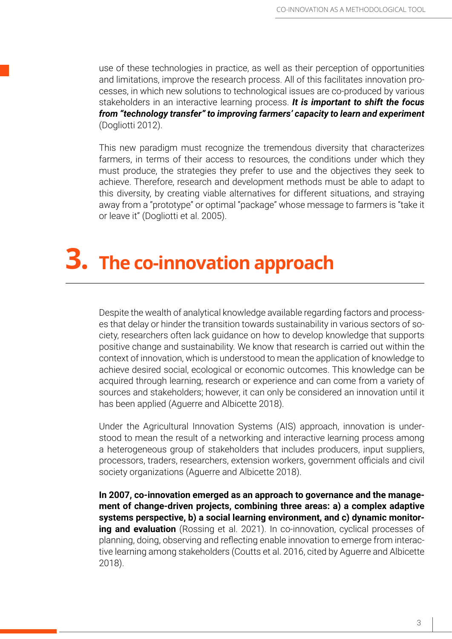use of these technologies in practice, as well as their perception of opportunities and limitations, improve the research process. All of this facilitates innovation processes, in which new solutions to technological issues are co-produced by various stakeholders in an interactive learning process. *It is important to shift the focus from "technology transfer" to improving farmers' capacity to learn and experiment*  (Dogliotti 2012).

This new paradigm must recognize the tremendous diversity that characterizes farmers, in terms of their access to resources, the conditions under which they must produce, the strategies they prefer to use and the objectives they seek to achieve. Therefore, research and development methods must be able to adapt to this diversity, by creating viable alternatives for different situations, and straying away from a "prototype" or optimal "package" whose message to farmers is "take it or leave it" (Dogliotti et al. 2005).

# **The co-innovation approach 3.**

Despite the wealth of analytical knowledge available regarding factors and processes that delay or hinder the transition towards sustainability in various sectors of society, researchers often lack guidance on how to develop knowledge that supports positive change and sustainability. We know that research is carried out within the context of innovation, which is understood to mean the application of knowledge to achieve desired social, ecological or economic outcomes. This knowledge can be acquired through learning, research or experience and can come from a variety of sources and stakeholders; however, it can only be considered an innovation until it has been applied (Aguerre and Albicette 2018).

Under the Agricultural Innovation Systems (AIS) approach, innovation is understood to mean the result of a networking and interactive learning process among a heterogeneous group of stakeholders that includes producers, input suppliers, processors, traders, researchers, extension workers, government officials and civil society organizations (Aguerre and Albicette 2018).

**In 2007, co-innovation emerged as an approach to governance and the management of change-driven projects, combining three areas: a) a complex adaptive systems perspective, b) a social learning environment, and c) dynamic monitoring and evaluation** (Rossing et al. 2021). In co-innovation, cyclical processes of planning, doing, observing and reflecting enable innovation to emerge from interactive learning among stakeholders (Coutts et al. 2016, cited by Aguerre and Albicette 2018).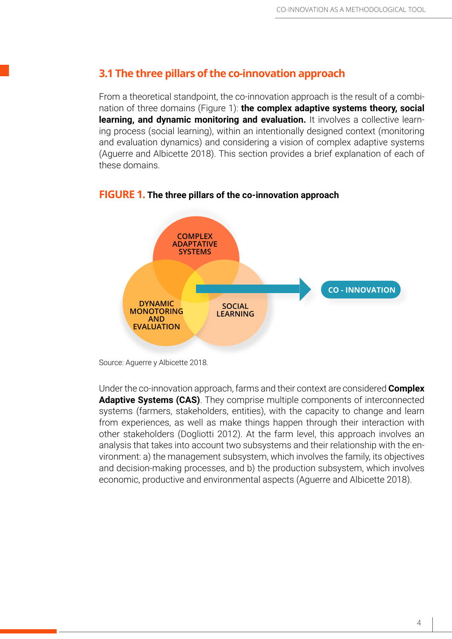#### **3.1 The three pillars of the co-innovation approach**

From a theoretical standpoint, the co-innovation approach is the result of a combination of three domains (Figure 1): **the complex adaptive systems theory, social learning, and dynamic monitoring and evaluation.** It involves a collective learning process (social learning), within an intentionally designed context (monitoring and evaluation dynamics) and considering a vision of complex adaptive systems (Aguerre and Albicette 2018). This section provides a brief explanation of each of these domains.



#### **FIGURE 1. The three pillars of the co-innovation approach**

Source: Aguerre y Albicette 2018.

Under the co-innovation approach, farms and their context are considered **Complex Adaptive Systems (CAS)**. They comprise multiple components of interconnected systems (farmers, stakeholders, entities), with the capacity to change and learn from experiences, as well as make things happen through their interaction with other stakeholders (Dogliotti 2012). At the farm level, this approach involves an analysis that takes into account two subsystems and their relationship with the environment: a) the management subsystem, which involves the family, its objectives and decision-making processes, and b) the production subsystem, which involves economic, productive and environmental aspects (Aguerre and Albicette 2018).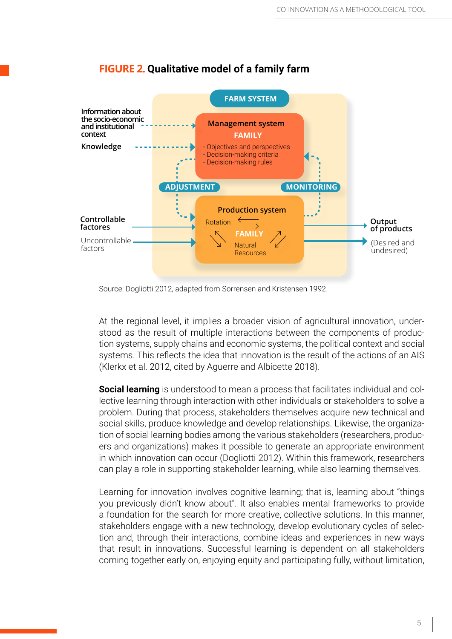

#### **FIGURE 2. Qualitative model of a family farm**

Source: Dogliotti 2012, adapted from Sorrensen and Kristensen 1992.

At the regional level, it implies a broader vision of agricultural innovation, understood as the result of multiple interactions between the components of production systems, supply chains and economic systems, the political context and social systems. This reflects the idea that innovation is the result of the actions of an AIS (Klerkx et al. 2012, cited by Aguerre and Albicette 2018).

**Social learning** is understood to mean a process that facilitates individual and collective learning through interaction with other individuals or stakeholders to solve a problem. During that process, stakeholders themselves acquire new technical and social skills, produce knowledge and develop relationships. Likewise, the organization of social learning bodies among the various stakeholders (researchers, producers and organizations) makes it possible to generate an appropriate environment in which innovation can occur (Dogliotti 2012). Within this framework, researchers can play a role in supporting stakeholder learning, while also learning themselves.

Learning for innovation involves cognitive learning; that is, learning about "things you previously didn't know about". It also enables mental frameworks to provide a foundation for the search for more creative, collective solutions. In this manner, stakeholders engage with a new technology, develop evolutionary cycles of selection and, through their interactions, combine ideas and experiences in new ways that result in innovations. Successful learning is dependent on all stakeholders coming together early on, enjoying equity and participating fully, without limitation,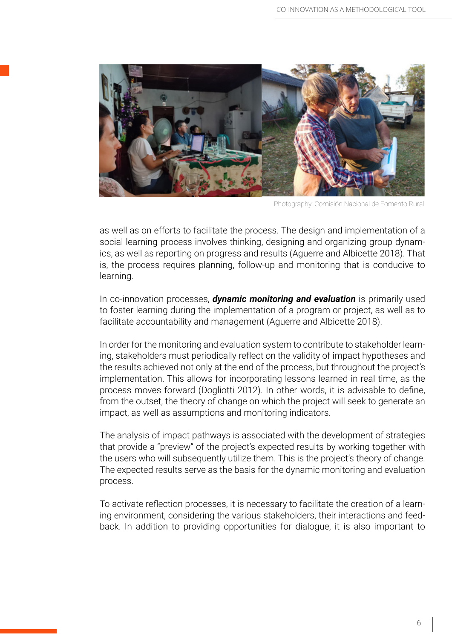

Photography: Comisión Nacional de Fomento Rural

as well as on efforts to facilitate the process. The design and implementation of a social learning process involves thinking, designing and organizing group dynamics, as well as reporting on progress and results (Aguerre and Albicette 2018). That is, the process requires planning, follow-up and monitoring that is conducive to learning.

In co-innovation processes, *dynamic monitoring and evaluation* is primarily used to foster learning during the implementation of a program or project, as well as to facilitate accountability and management (Aguerre and Albicette 2018).

In order for the monitoring and evaluation system to contribute to stakeholder learning, stakeholders must periodically reflect on the validity of impact hypotheses and the results achieved not only at the end of the process, but throughout the project's implementation. This allows for incorporating lessons learned in real time, as the process moves forward (Dogliotti 2012). In other words, it is advisable to define, from the outset, the theory of change on which the project will seek to generate an impact, as well as assumptions and monitoring indicators.

The analysis of impact pathways is associated with the development of strategies that provide a "preview" of the project's expected results by working together with the users who will subsequently utilize them. This is the project's theory of change. The expected results serve as the basis for the dynamic monitoring and evaluation process.

To activate reflection processes, it is necessary to facilitate the creation of a learning environment, considering the various stakeholders, their interactions and feedback. In addition to providing opportunities for dialogue, it is also important to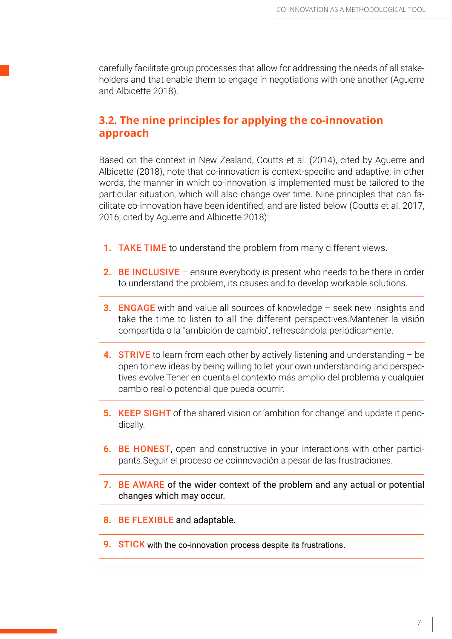carefully facilitate group processes that allow for addressing the needs of all stakeholders and that enable them to engage in negotiations with one another (Aguerre and Albicette 2018).

#### **3.2. The nine principles for applying the co-innovation approach**

Based on the context in New Zealand, Coutts et al. (2014), cited by Aguerre and Albicette (2018), note that co-innovation is context-specific and adaptive; in other words, the manner in which co-innovation is implemented must be tailored to the particular situation, which will also change over time. Nine principles that can facilitate co-innovation have been identified, and are listed below (Coutts et al. 2017, 2016; cited by Aguerre and Albicette 2018):

- **1.** TAKE TIME to understand the problem from many different views.
- **2.** BE INCLUSIVE ensure everybody is present who needs to be there in order to understand the problem, its causes and to develop workable solutions.
- **3.** ENGAGE with and value all sources of knowledge seek new insights and take the time to listen to all the different perspectives.Mantener la visión compartida o la "ambición de cambio", refrescándola periódicamente.
- **4.** STRIVE to learn from each other by actively listening and understanding be open to new ideas by being willing to let your own understanding and perspectives evolve.Tener en cuenta el contexto más amplio del problema y cualquier cambio real o potencial que pueda ocurrir.
- **5.** KEEP SIGHT of the shared vision or 'ambition for change' and update it periodically.
- **6.** BE HONEST, open and constructive in your interactions with other participants.Seguir el proceso de coinnovación a pesar de las frustraciones.
- **7.** BE AWARE of the wider context of the problem and any actual or potential changes which may occur.
- **8.** BE FLEXIBLE and adaptable.
- **9. STICK** with the co-innovation process despite its frustrations.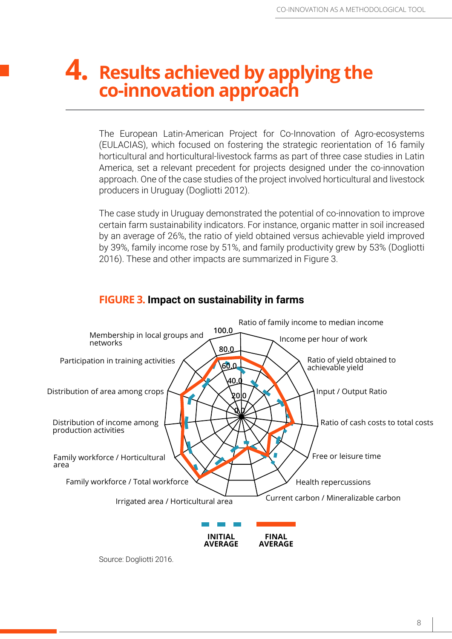### **4.** Results achieved by applying the **co-innovation approach**

The European Latin-American Project for Co-Innovation of Agro-ecosystems (EULACIAS), which focused on fostering the strategic reorientation of 16 family horticultural and horticultural-livestock farms as part of three case studies in Latin America, set a relevant precedent for projects designed under the co-innovation approach. One of the case studies of the project involved horticultural and livestock producers in Uruguay (Dogliotti 2012).

The case study in Uruguay demonstrated the potential of co-innovation to improve certain farm sustainability indicators. For instance, organic matter in soil increased by an average of 26%, the ratio of yield obtained versus achievable yield improved by 39%, family income rose by 51%, and family productivity grew by 53% (Dogliotti 2016). These and other impacts are summarized in Figure 3.



#### **FIGURE 3. Impact on sustainability in farms**

Source: Dogliotti 2016.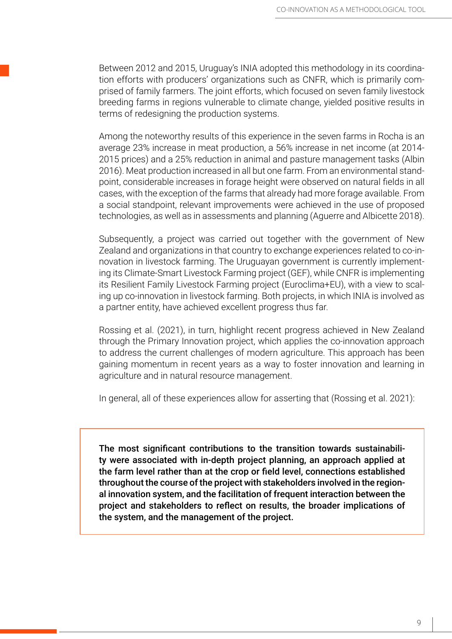Between 2012 and 2015, Uruguay's INIA adopted this methodology in its coordination efforts with producers' organizations such as CNFR, which is primarily comprised of family farmers. The joint efforts, which focused on seven family livestock breeding farms in regions vulnerable to climate change, yielded positive results in terms of redesigning the production systems.

Among the noteworthy results of this experience in the seven farms in Rocha is an average 23% increase in meat production, a 56% increase in net income (at 2014- 2015 prices) and a 25% reduction in animal and pasture management tasks (Albin 2016). Meat production increased in all but one farm. From an environmental standpoint, considerable increases in forage height were observed on natural fields in all cases, with the exception of the farms that already had more forage available. From a social standpoint, relevant improvements were achieved in the use of proposed technologies, as well as in assessments and planning (Aguerre and Albicette 2018).

Subsequently, a project was carried out together with the government of New Zealand and organizations in that country to exchange experiences related to co-innovation in livestock farming. The Uruguayan government is currently implementing its Climate-Smart Livestock Farming project (GEF), while CNFR is implementing its Resilient Family Livestock Farming project (Euroclima+EU), with a view to scaling up co-innovation in livestock farming. Both projects, in which INIA is involved as a partner entity, have achieved excellent progress thus far.

Rossing et al. (2021), in turn, highlight recent progress achieved in New Zealand through the Primary Innovation project, which applies the co-innovation approach to address the current challenges of modern agriculture. This approach has been gaining momentum in recent years as a way to foster innovation and learning in agriculture and in natural resource management.

In general, all of these experiences allow for asserting that (Rossing et al. 2021):

The most significant contributions to the transition towards sustainability were associated with in-depth project planning, an approach applied at the farm level rather than at the crop or field level, connections established throughout the course of the project with stakeholders involved in the regional innovation system, and the facilitation of frequent interaction between the project and stakeholders to reflect on results, the broader implications of the system, and the management of the project.